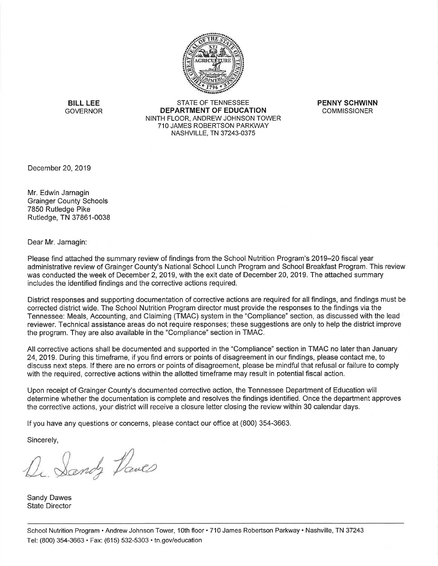

**BILL LEE GOVERNOR** 

**STATE OF TENNESSEE** DEPARTMENT OF EDUCATION NINTH FLOOR, ANDREW JOHNSON TOWER 710 JAMES ROBERTSON PARKWAY NASHVILLE, TN 37243-0375

**PENNY SCHWINN COMMISSIONER** 

December 20, 2019

Mr. Edwin Jarnagin **Grainger County Schools** 7850 Rutledge Pike Rutledge, TN 37861-0038

Dear Mr. Jarnagin:

Please find attached the summary review of findings from the School Nutrition Program's 2019–20 fiscal year administrative review of Grainger County's National School Lunch Program and School Breakfast Program. This review was conducted the week of December 2, 2019, with the exit date of December 20, 2019. The attached summary includes the identified findings and the corrective actions required.

District responses and supporting documentation of corrective actions are required for all findings, and findings must be corrected district wide. The School Nutrition Program director must provide the responses to the findings via the Tennessee: Meals, Accounting, and Claiming (TMAC) system in the "Compliance" section, as discussed with the lead reviewer. Technical assistance areas do not require responses; these suggestions are only to help the district improve the program. They are also available in the "Compliance" section in TMAC.

All corrective actions shall be documented and supported in the "Compliance" section in TMAC no later than January 24, 2019. During this timeframe, if you find errors or points of disagreement in our findings, please contact me, to discuss next steps. If there are no errors or points of disagreement, please be mindful that refusal or failure to comply with the required, corrective actions within the allotted timeframe may result in potential fiscal action.

Upon receipt of Grainger County's documented corrective action, the Tennessee Department of Education will determine whether the documentation is complete and resolves the findings identified. Once the department approves the corrective actions, your district will receive a closure letter closing the review within 30 calendar days.

If you have any questions or concerns, please contact our office at (800) 354-3663.

Sincerely,

Dr. Sandy Daves

**Sandy Dawes State Director**